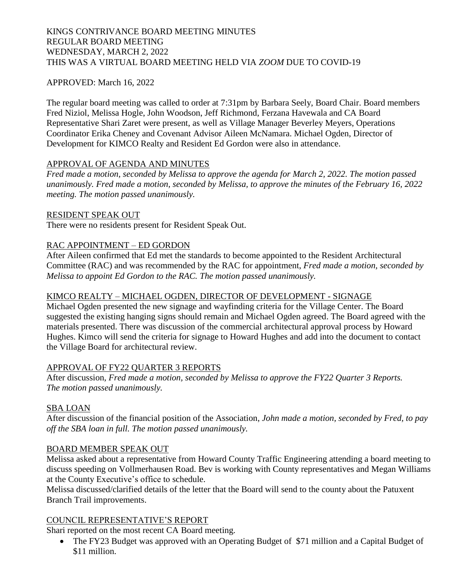# KINGS CONTRIVANCE BOARD MEETING MINUTES REGULAR BOARD MEETING WEDNESDAY, MARCH 2, 2022 THIS WAS A VIRTUAL BOARD MEETING HELD VIA *ZOOM* DUE TO COVID-19

## APPROVED: March 16, 2022

The regular board meeting was called to order at 7:31pm by Barbara Seely, Board Chair. Board members Fred Niziol, Melissa Hogle, John Woodson, Jeff Richmond, Ferzana Havewala and CA Board Representative Shari Zaret were present, as well as Village Manager Beverley Meyers, Operations Coordinator Erika Cheney and Covenant Advisor Aileen McNamara. Michael Ogden, Director of Development for KIMCO Realty and Resident Ed Gordon were also in attendance.

# APPROVAL OF AGENDA AND MINUTES

*Fred made a motion, seconded by Melissa to approve the agenda for March 2, 2022. The motion passed unanimously. Fred made a motion, seconded by Melissa, to approve the minutes of the February 16, 2022 meeting. The motion passed unanimously.*

### RESIDENT SPEAK OUT

There were no residents present for Resident Speak Out.

# RAC APPOINTMENT – ED GORDON

After Aileen confirmed that Ed met the standards to become appointed to the Resident Architectural Committee (RAC) and was recommended by the RAC for appointment, *Fred made a motion, seconded by Melissa to appoint Ed Gordon to the RAC. The motion passed unanimously.*

### KIMCO REALTY – MICHAEL OGDEN, DIRECTOR OF DEVELOPMENT - SIGNAGE

Michael Ogden presented the new signage and wayfinding criteria for the Village Center. The Board suggested the existing hanging signs should remain and Michael Ogden agreed. The Board agreed with the materials presented. There was discussion of the commercial architectural approval process by Howard Hughes. Kimco will send the criteria for signage to Howard Hughes and add into the document to contact the Village Board for architectural review.

### APPROVAL OF FY22 QUARTER 3 REPORTS

After discussion, *Fred made a motion, seconded by Melissa to approve the FY22 Quarter 3 Reports. The motion passed unanimously.*

### SBA LOAN

After discussion of the financial position of the Association, *John made a motion, seconded by Fred, to pay off the SBA loan in full. The motion passed unanimously.*

### BOARD MEMBER SPEAK OUT

Melissa asked about a representative from Howard County Traffic Engineering attending a board meeting to discuss speeding on Vollmerhausen Road. Bev is working with County representatives and Megan Williams at the County Executive's office to schedule.

Melissa discussed/clarified details of the letter that the Board will send to the county about the Patuxent Branch Trail improvements.

### COUNCIL REPRESENTATIVE'S REPORT

Shari reported on the most recent CA Board meeting.

• The FY23 Budget was approved with an Operating Budget of \$71 million and a Capital Budget of \$11 million.